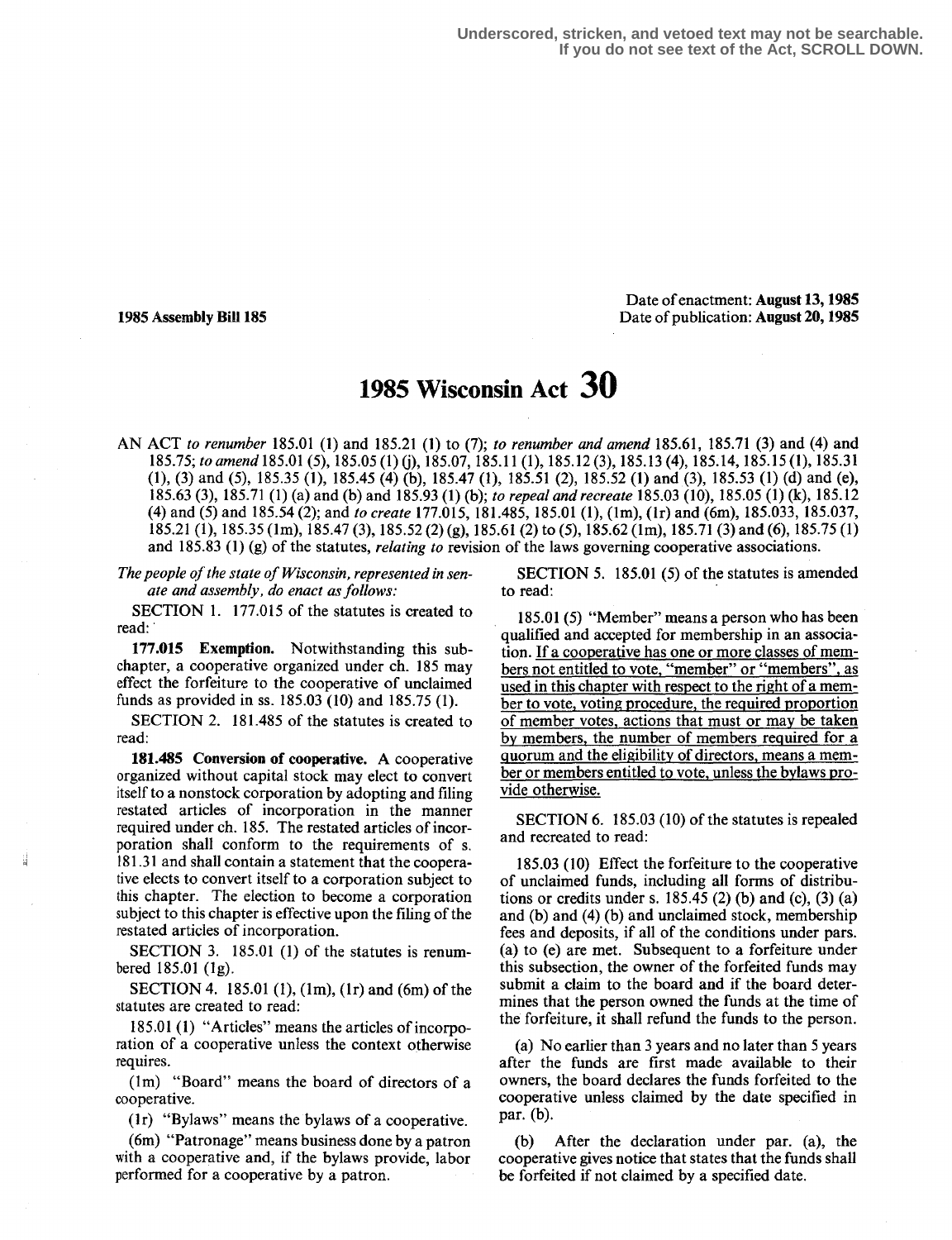**Underscored, stricken, and vetoed text may not be searchable. If you do not see text of the Act, SCROLL DOWN.**

#### Date of enactment: August 13,1985 1985 Assembly Bill 185 Date of publication: August 20, 1985

# 195 Wisconsin Act 30

AN ACT to renumber 185.01 (1) and 185.21 (1) to (7); to renumber and amend 185.61, 185.71 (3) and (4) and 185.75; to amend 185.01 (5), 185.05 (1) (j), 185.07, 185.11 (1), 185.12 (3), 185.13 (4), 185.14, 185.15 (1), 185.31 (1), (3) and (5), 185 .35 (1), 185 .45 (4) (b), 185.47 (1), 185 .51 (2), 185.52 (1) and (3), 185 .53 (1) (d) and (e), 185.63 (3), 185.71 (1) (a) and (b) and 185.93 (1) (b); to repeal and recreate 185.03 (10), 185.05 (1) (k), 185.12 (4) and (5) and 185.54 (2); and to create 177.015, 181.485, 185.01 (1), (1m), (1r) and (6m), 185.033, 185.037, 185.21 (1), 185 .35 (1m), 185.47 (3), 185 .52 (2) (g), 185.61 (2) to (5), 185 .62 (1m), 185.71 (3) and (6), 185 .75 (1) and  $185.83$  (1) (g) of the statutes, *relating to* revision of the laws governing cooperative associations.

The people of the state of Wisconsin, represented in senate and assembly, do enact as follows:

SECTION 1. 177.015 of the statutes is created to read:

177.015 Exemption. Notwithstanding this subchapter, a cooperative organized under ch. 185 may effect the forfeiture to the cooperative of unclaimed funds as provided in ss. 185.03 (10) and 185.75 (1).

SECTION 2. 181.485 of the statutes is created to read:

181.485 Conversion of cooperative. A cooperative organized without capital stock may elect to convert itself to a nonstock corporation by adopting and filing restated articles of incorporation in the manner required under ch. 185. The restated articles of incorporation shall conform to the requirements of s. 18131 and shall contain a statement that the cooperative elects to convert itself to a corporation subject to this chapter. The election to become a corporation subject to this chapter is effective upon the filing of the restated articles of incorporation.

SECTION 3. 185.01 (1) of the statutes is renumbered  $185.01$  (1g).

SECTION 4. 185.01 (1), (1m), (1r) and (6m) of the statutes are created to read:

185.01 (1) "Articles" means the articles of incorporation of a cooperative unless the context otherwise requires .

(lm) "Board" means the board of directors of a cooperative.

(1r) "Bylaws" means the bylaws of a cooperative .

(6m) "Patronage" means business done by a patron with a cooperative and, if the bylaws provide, labor performed for a cooperative by a patron.

SECTION 5. 185.01 (5) of the statutes is amended to read:

185.01 (5) "Member" means a person who has been qualified and accepted for membership in an association. If a cooperative has one or more classes of members not entitled to vote, "member" or "members", as used in this chapter with respect to the right of a member to vote, voting procedure, the required proportion of member votes, actions that must or may be taken by members, the number of members required for a quorum and the eligibility of directors, means a member or members entitled to vote, unless the bylaws provide otherwise.

SECTION 6. 185.03 (10) of the statutes is repealed and recreated to read:

185.03 (10) Effect the forfeiture to the cooperative of unclaimed funds, including all forms of distributions or credits under s.  $185.45$  (2) (b) and (c), (3) (a) and (b) and (4) (b) and unclaimed stock, membership fees and deposits, if all of the conditions under pars. (a) to (e) are met. Subsequent to a forfeiture under this subsection, the owner of the forfeited funds may submit a claim to the board and if the board determines that the person owned the funds at the time of the forfeiture, it shall refund the funds to the person.

(a) No earlier than 3 years and no later than 5 years after the funds are first made available to their owners, the board declares the funds forfeited to the cooperative unless claimed by the date specified in par. (b).

(b) After the declaration under par. (a), the cooperative gives notice that states that the funds shall be forfeited if not claimed by a specified date.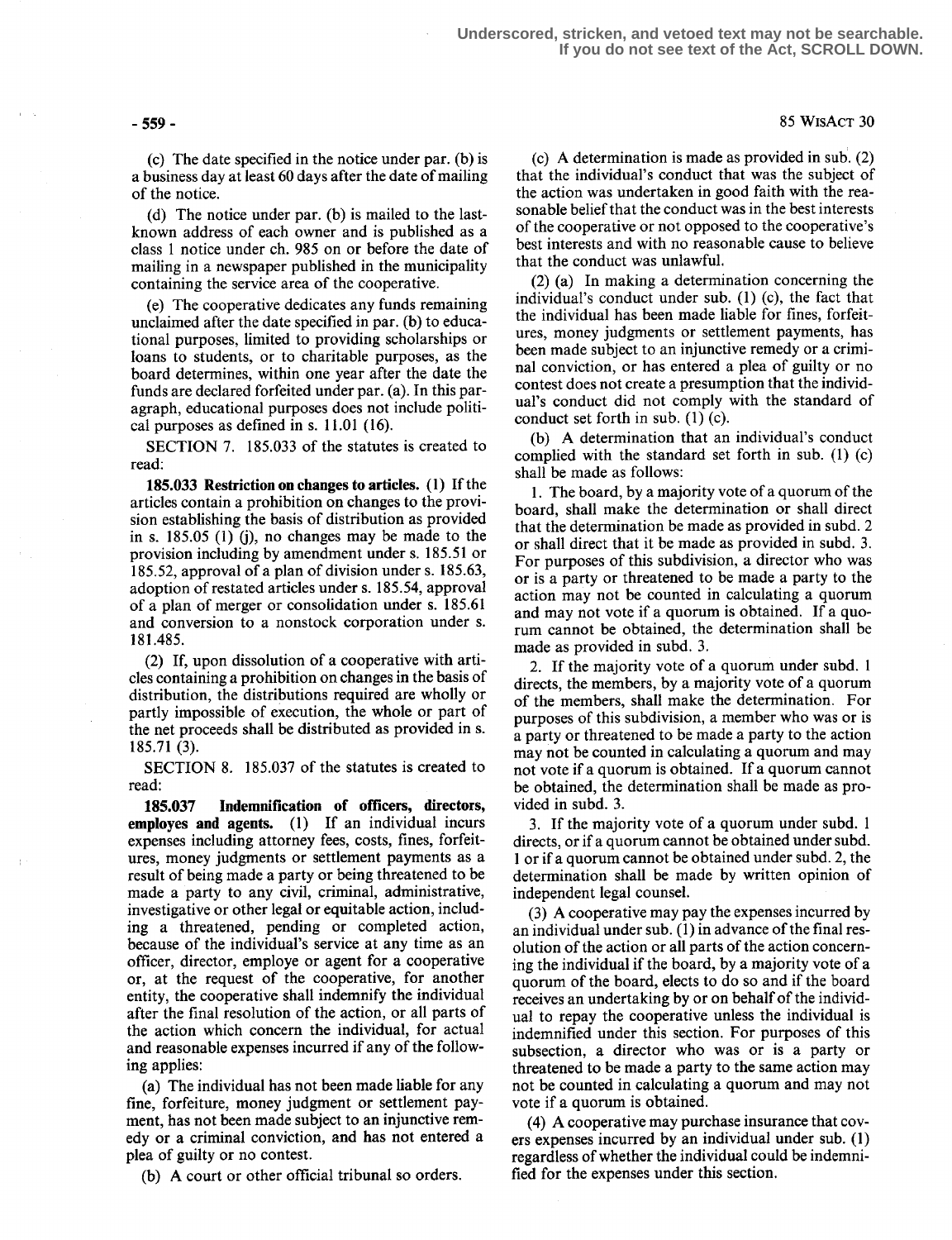(c) The date specified in the notice under par. (b) is a business day at least 60 days after the date of mailing of the notice .

(d) The notice under par. (b) is mailed to the lastknown address of each owner and is published as a class 1 notice under ch. 985 on or before the date of mailing in a newspaper published in the municipality containing the service area of the cooperative.

(e) The cooperative dedicates any funds remaining unclaimed after the date specified in par. (b) to educational purposes, limited to providing scholarships or loans to students, or to charitable purposes, as the board determines, within one year after the date the funds are declared forfeited under par. (a). In this paragraph, educational purposes does not include political purposes as defined in s. 11 .01 (16) .

SECTION 7. 185.033 of the statutes is created to read:

185.033 Restriction on changes to articles. (1) If the articles contain a prohibition on changes to the provision establishing the basis of distribution as provided in s. 185.05 (1) (j), no changes may be made to the provision including by amendment under s. 185.51 or 185.52, approval of a plan of division under s. 185.63, adoption of restated articles under s. 185.54, approval of a plan of merger or consolidation under s. 185 .61 and conversion to a nonstock corporation under s. 181 .485 .

(2) If, upon dissolution of a cooperative with articles containing a prohibition on changes in the basis of distribution, the distributions required are wholly or partly impossible of execution, the whole or part of the net proceeds shall be distributed as provided in s. 185.71 (3).

SECTION 8. 185.037 of the statutes is created to read:

185.037 Indemnification of officers, directors, employes and agents. (1) If an individual incurs expenses including attorney fees, costs, fines, forfeitures, money judgments or settlement payments as a result of being made a party or being threatened to be made a party to any civil, criminal, administrative, investigative or other legal or equitable action, including a threatened, pending or completed action, because of the individual's service at any time as an officer, director, employe or agent for a cooperative or, at the request of the cooperative, for another entity, the cooperative shall indemnify the individual after the final resolution of the action, or all parts of the action which concern the individual, for actual and reasonable expenses incurred if any of the following applies:

(a) The individual has not been made liable for any fine, forfeiture, money judgment or settlement payment, has not been made subject to an injunctive remedy or a criminal conviction, and has not entered a plea of guilty or no contest.

(b) A court or other official tribunal so orders.

(c) A determination is made as provided in sub. (2) that the individual's conduct that was the subject of the action was undertaken in good faith with the reasonable belief that the conduct was in the best interests of the cooperative or not opposed to the cooperative's best interests and with no reasonable cause to believe that the conduct was unlawful.

(2) (a) In making a determination concerning the individual's conduct under sub. (1) (c), the fact that the individual has been made liable for fines, forfeitures, money judgments or settlement payments, has been made subject to an injunctive remedy or a criminal conviction, or has entered a plea of guilty or no contest does not create a presumption that the individual's conduct did not comply with the standard of conduct set forth in sub. (1) (c).

(b) A determination that an individual's conduct complied with the standard set forth in sub. (1) (c) shall be made as follows:

<sup>1</sup> . The board, by a majority vote of a quorum of the board, shall make the determination or shall direct that the determination be made as provided in subd. 2 or shall direct that it be made as provided in subd. 3. For purposes of this subdivision, a director who was or is a party or threatened to be made a party to the action may not be counted in calculating a quorum and may not vote if a quorum is obtained. If a quorum cannot be obtained, the determination shall be made as provided in subd. 3.

2. If the majority vote of a quorum under subd. 1 directs, the members, by a majority vote of a quorum of the members, shall make the determination . For purposes of this subdivision, a member who was or is a party or threatened to be made a party to the action may not be counted in calculating a quorum and may not vote if a quorum is obtained. If a quorum cannot be obtained, the determination shall be made as provided in subd. 3.

3. If the majority vote of a quorum under subd. 1 directs, or if a quorum cannot be obtained under subd. 1 or if a quorum cannot be obtained under subd. 2, the determination shall be made by written opinion of independent legal counsel.

(3) A cooperative may pay the expenses incurred by an individual under sub. (1) in advance of the final resolution of the action or all parts of the action concerning the individual if the board, by a majority vote of a quorum of the board, elects to do so and if the board receives an undertaking by or on behalf of the individual to repay the cooperative unless the individual is indemnified under this section. For purposes of this subsection, a director who was or is a party or threatened to be made a party to the same action may not be counted in calculating a quorum and may not vote if a quorum is obtained.

(4) A cooperative may purchase insurance that covers expenses incurred by an individual under sub. (1) regardless of whether the individual could be indemnified for the expenses under this section.

-559- 85 WisAcT 30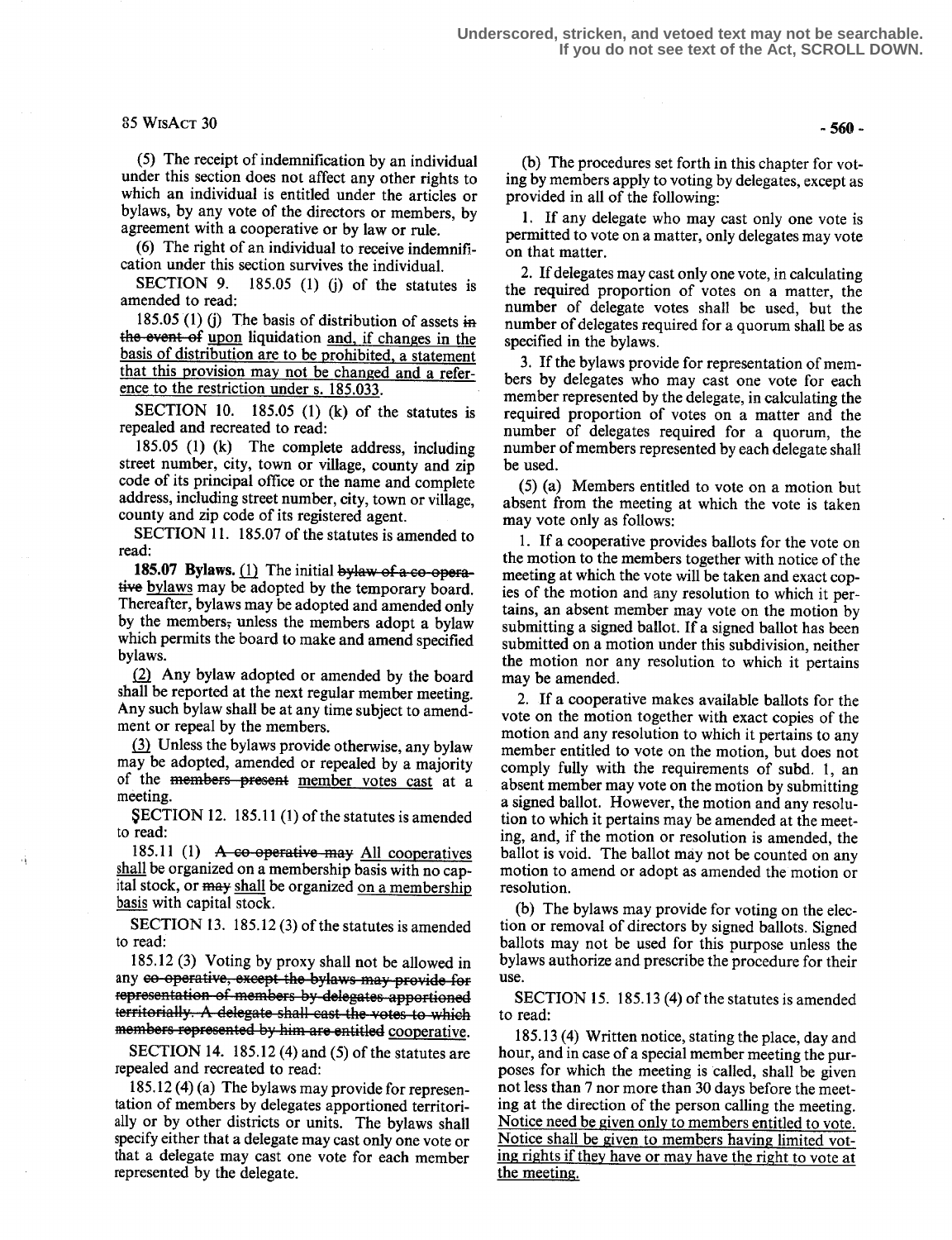### $85 WisAcr 30 - 560 -$

(5) The receipt of indemnification by an individual under this section does not affect any other rights to which an individual is entitled under the articles or bylaws, by any vote of the directors or members, by agreement with a cooperative or by law or rule.

(6) The right of an individual to receive indemnification under this section survives the individual.

SECTION 9. 185.05 (1) (j) of the statutes is amended to read:

185.05 (1) (j) The basis of distribution of assets in the event of upon liquidation and, if changes in the basis of distribution are to be prohibited, a statement that this provision may not be changed and a reference to the restriction under s. 185.033 .

SECTION 10.  $185.05$  (1) (k) of the statutes is repealed and recreated to read:

185.05 (1) (k) The complete address, including street number, city, town or village, county and zip code of its principal office or the name and complete address, including street number, city, town or village, county and zip code of its registered agent.

SECTION 11. 185.07 of the statutes is amended to read:

185.07 Bylaws.  $(1)$  The initial bylaw of a co-operative bylaws may be adopted by the temporary board. Thereafter, bylaws may be adopted and amended only by the members; unless the members adopt a bylaw which permits the board to make and amend specified bylaws.

Any bylaw adopted or amended by the board shall be reported at the next regular member meeting. Any such bylaw shall be at any time subject to amendment or repeal by the members.

Unless the bylaws provide otherwise, any bylaw may be adopted, amended or repealed by a majority of the members present member votes cast at a meeting.

SECTION 12. 185.11 (1) of the statutes is amended to read:

185.11 (1)  $\overline{A}$  co-operative may All cooperatives shall be organized on a membership basis with no capital stock, or may shall be organized on a membership basis with capital stock.

SECTION 13. 185.12(3) of the statutes is amended to read:

185.12 (3) Voting by proxy shall not be allowed in any co-operative, except the bylaws may provide for representation of members by delegates apportioned territorially. A delegate shall cast the votes to which members represented by him are entitled cooperative.

SECTION 14. 185.12 (4) and (5) of the statutes are repealed and recreated to read:

185.12 (4) (a) The bylaws may provide for representation of members by delegates apportioned territorially or by other districts or units. The bylaws shall specify either that a delegate may cast only one vote or that a delegate may cast one vote for each member represented by the delegate.

(b) The procedures set forth in this chapter for voting by members apply to voting by delegates, except as provided in all of the following:

1. If any delegate who may cast only one vote is permitted to vote on a matter, only delegates may vote on that matter.

2. If delegates may cast only one vote, in calculating the required proportion of votes on a matter, the number of delegate votes shall be used, but the number of delegates required for a quorum shall be as specified in the bylaws.

<sup>3</sup> . If the bylaws provide for representation of members by delegates who may cast one vote for each member represented by the delegate, in calculating the required proportion of votes on a matter and the number of delegates required for a quorum, the number of members represented by each delegate shall be used.

(5) (a) Members entitled to vote on a motion but absent from the meeting at which the vote is taken may vote only as follows:

<sup>1</sup> . If a cooperative provides ballots for the vote on the motion to the members together with notice of the meeting at which the vote will be taken and exact copies of the motion and any resolution to which it pertains, an absent member may vote on the motion by submitting a signed ballot. If a signed ballot has been submitted on a motion under this subdivision, neither the motion nor any resolution to which it pertains may be amended.

2. If a cooperative makes available ballots for the vote on the motion together with exact copies of the motion and any resolution to which it pertains to any member entitled to vote on the motion, but does not comply fully with the requirements of subd. 1, an absent member may vote on the motion by submitting a signed ballot. However, the motion and any resolution to which it pertains may be amended at the meeting, and, if the motion or resolution is amended, the ballot is void. The ballot may not be counted on any motion to amend or adopt as amended the motion or resolution.

(b) The bylaws may provide for voting on the election or removal of directors by signed ballots. Signed ballots may not be used for this purpose unless the bylaws authorize and prescribe the procedure for their use.

SECTION 15. 185.13 (4) of the statutes is amended to read:

185.13 (4) Written notice, stating the place, day and hour, and in case of a special member meeting the purposes for which the meeting is called, shall be given not less than 7 nor more than 30 days before the meeting at the direction of the person calling the meeting. Notice need be given only to members entitled to vote. Notice shall be given to members having limited voting rights if they have or may have the right to vote at the meeting.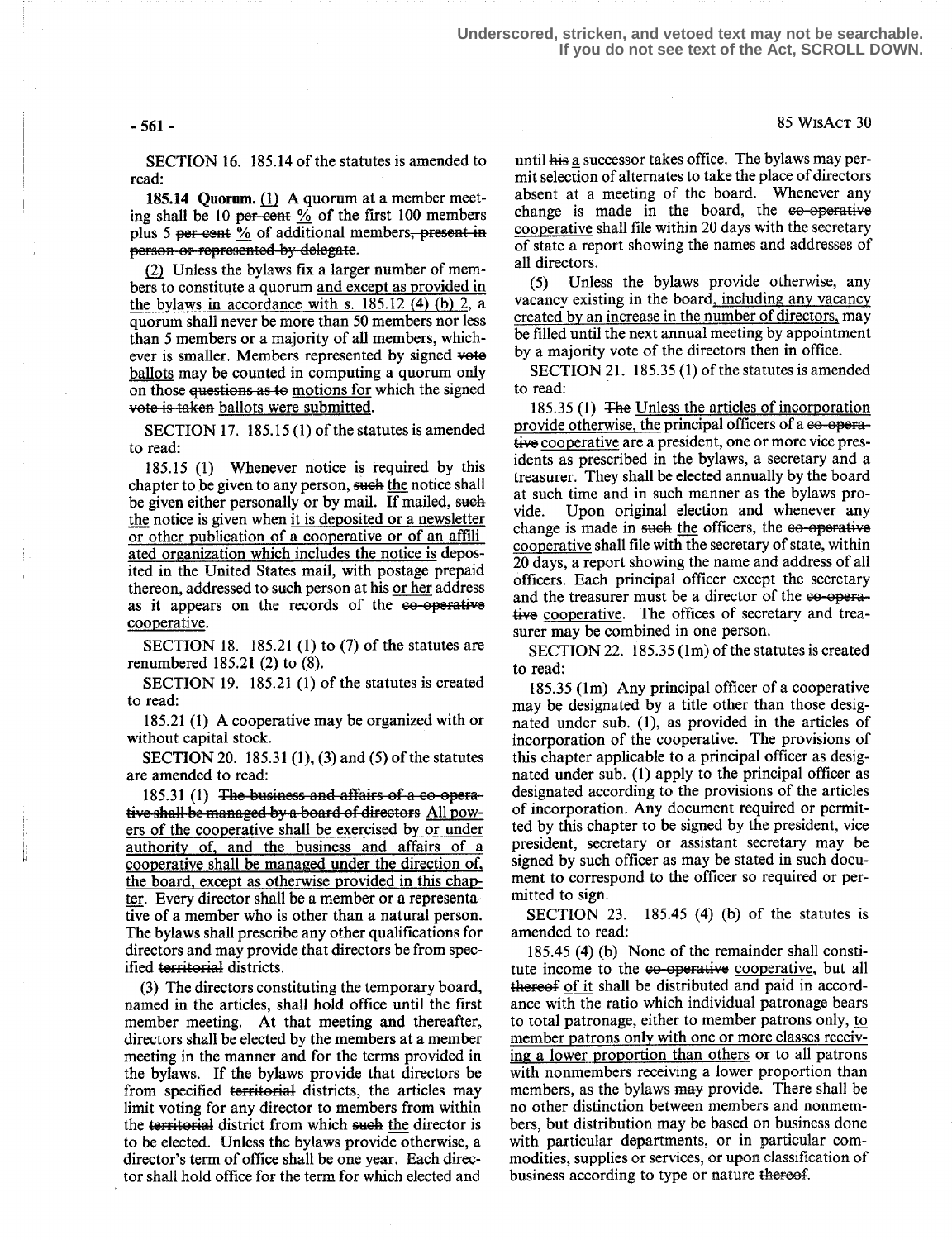### $-561$  - 85 WisAct 30

SECTION 16. 185.14 of the statutes is amended to read:

185.14 quorum. (1) A quorum at a member meeting shall be 10 per-cent  $\frac{9}{6}$  of the first 100 members plus 5 per cent  $\frac{0}{2}$  of additional members, present in person or represented by delegate.

Unless the bylaws fix a larger number of members to constitute a quorum and except as provided in the bylaws in accordance with s. 185.12 (4) (b) 2, a quorum shall never be more than 50 members nor less than 5 members or a majority of all members, whichever is smaller. Members represented by signed vote ballots may be counted in computing a quorum only on those questions as to motions for which the signed vote is taken ballots were submitted.

SECTION 17. 185.15 (1) of the statutes is amended to read:

185.15 (1) Whenever notice is required by this chapter to be given to any person, such the notice shall be given either personally or by mail. If mailed, such the notice is given when it is deposited or a newsletter or other publication of a cooperative or of an affiliated organization which includes the notice is deposited in the United States mail, with postage prepaid thereon, addressed to such person at his or her address as it appears on the records of the ee-operative cooperative.

SECTION 18. 185.21 (1) to (7) of the statutes are renumbered 185.21 (2) to (8).

SECTION 19. 185.21 (1) of the statutes is created to read:

185.21 (1) A cooperative may be organized with or without capital stock.

SECTION 20. 185.31 (1), (3) and (5) of the statutes are amended to read:

 $185.31$  (1) The business and affairs of a co-operative shall be managed by a board of directors All powers of the cooperative shall be exercised by or under authority of, and the business and affairs of a cooperative shall be managed under the direction of, the board, except as otherwise provided in this chapter. Every director shall be a member or a representative of a member who is other than a natural person. The bylaws shall prescribe any other qualifications for directors and may provide that directors be from specified territorial districts.

(3) The directors constituting the temporary board, named in the articles, shall hold office until the first member meeting. At that meeting and thereafter, directors shall be elected by the members at a member meeting in the manner and for the terms provided in the bylaws. If the bylaws provide that directors be from specified territorial districts, the articles may limit voting for any director to members from within the territorial district from which such the director is to be elected. Unless the bylaws provide otherwise, a director's term of office shall be one year. Each director shall hold office for the term for which elected and

until his a successor takes office. The bylaws may permit selection of alternates to take the place of directors absent at a meeting of the board. Whenever any change is made in the board, the e<del>o-operative</del> cooperative shall file within 20 days with the secretary of state a report showing the names and addresses of all directors.

(5) Unless the bylaws provide otherwise, any vacancy existing in the board, including any vacancy created by an increase in the number of directors, may be filled until the next annual meeting by appointment by a majority vote of the directors then in office.

SECTION 21. 185.35 (1) of the statutes is amended to read:

185.35 (1) The Unless the articles of incorporation provide otherwise, the principal officers of a co-operative cooperative are a president, one or more vice presidents as prescribed in the bylaws, a secretary and a treasurer. They shall be elected annually by the board at such time and in such manner as the bylaws provide. Upon original election and whenever any change is made in such the officers, the eo-operative cooperative shall file with the secretary of state, within 20 days, a report showing the name and address of all officers . Each principal officer except the secretary and the treasurer must be a director of the  $e^{\theta}$ -operative cooperative. The offices of secretary and treasurer may be combined in one person.

SECTION 22. 185.35 (lm) of the statutes is created to read:

185.35 (lm) Any principal officer of a cooperative may be designated by a title other than those designated under sub. (1), as provided in the articles of incorporation of the cooperative. The provisions of this chapter applicable to a principal officer as designated under sub. (1) apply to the principal officer as designated according to the provisions of the articles of incorporation. Any document required or permitted by this chapter to be signed by the president, vice president, secretary or assistant secretary may be signed by such officer as may be stated in such document to correspond to the officer so required or permitted to sign.

SECTION 23. 185.45 (4) (b) of the statutes is amended to read:

185.45 (4) (b) None of the remainder shall constitute income to the e<del>o-operative</del> cooperative, but all thereof of it shall be distributed and paid in accordance with the ratio which individual patronage bears to total patronage, either to member patrons only, to member patrons only with one or more classes receiving a lower proportion than others or to all patrons with nonmembers receiving a lower proportion than members, as the bylaws may provide. There shall be no other distinction between members and nonmembers, but distribution may be based on business done with particular departments, or in particular commodities, supplies or services, or upon classification of business according to type or nature thereof.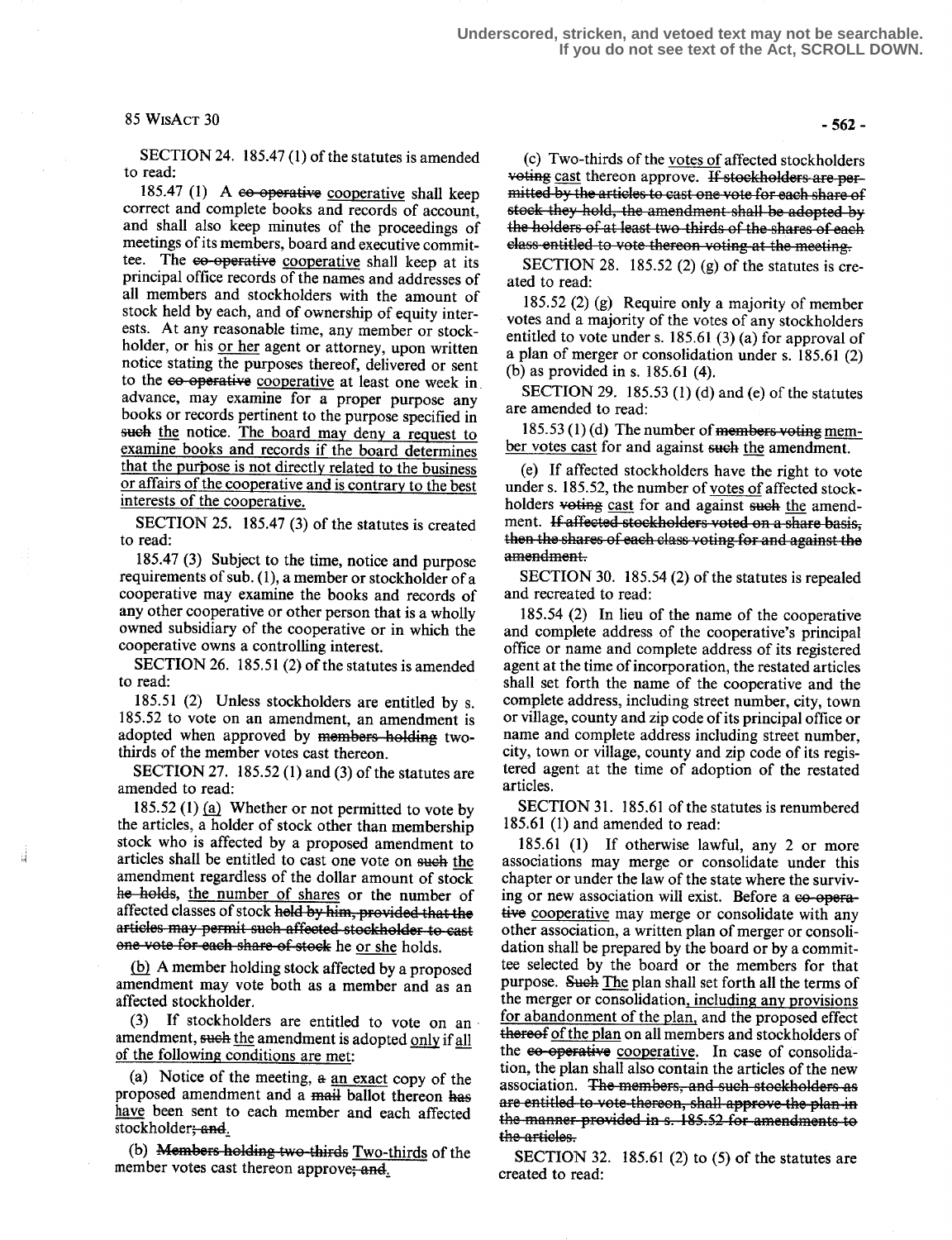## $85 WISACT 30 -562$

SECTION 24. 185.47 (1) of the statutes is amended to read:

185.47 (1) A  $e$ o operative cooperative shall keep correct and complete books and records of account, and shall also keep minutes of the proceedings of meetings of its members, board and executive committee. The ee-operative cooperative shall keep at its principal office records of the names and addresses of all members and stockholders with the amount of stock held by each, and of ownership of equity interests. At any reasonable time, any member or stockholder, or his <u>or her</u> agent or attorney, upon written notice stating the purposes thereof, delivered or sent to the co-operative cooperative at least one week in advance, may examine for a proper purpose any books or records pertinent to the purpose specified in such the notice. The board may deny a request to examine books and records if the board determines that the purpose is not directly related to the business or affairs of the cooperative and is contrary to the best interests of the cooperative.

SECTION 25. 185.47 (3) of the statutes is created to read:

185.47 (3) Subject to the time, notice and purpose requirements of sub. (1), a member or stockholder of a cooperative may examine the books and records of any other cooperative or other person that is a wholly owned subsidiary of the cooperative or in which the cooperative owns a controlling interest.

SECTION 26. 185.51 (2) of the statutes is amended to read:

185.51 (2) Unless stockholders are entitled by s.<br>185.52 to vote on an amendment, an amendment is<br>adopted when approved by <del>members holding</del> two-<br>thirds of the member votes cast thereon.<br>SECTION 27–185.52 (1) and (3) of t  $185.52$  to vote on an amendment, an amendment is adopted when approved by members-holding twothirds of the member votes cast thereon.

SECTION 27.  $185.52$  (1) and (3) of the statutes are amended to read:

185.52 (1)  $(a)$  Whether or not permitted to vote by the articles, a holder of stock other than membership stock who is affected by a proposed amendment to articles shall be entitled to cast one vote on such the amendment regardless of the dollar amount of stock he holds, the number of shares or the number of affected classes of stock hold by him, provided that the articles may permit such affected stockholder to cast one vote for each share of stock he or she holds.

A member holding stock affected by a proposed amendment may vote both as a member and as an affected stockholder.

(3) If stockholders are entitled to vote on an amendment, such the amendment is adopted only if all of the following conditions are met:

(a) Notice of the meeting, a an exact copy of the proposed amendment and a mail ballot thereon has have been sent to each member and each affected stockholder; and.

(b) Members holding two-thirds Two-thirds of the member votes cast thereon approve; and,

(c) Two-thirds of the votes of affected stockholders voting cast thereon approve. If stockholders are permitted by the articles to cast one vote for each share of stock they hold, the amendment shall be adopted by the holders of at least two-thirds of the shares of each the holders of at least two times of the shares of each calculation of the meeting.

SECTION 28. 185.52 (2) (g) of the statutes is created to read:

185.52 (2) (g) Require only a majority of member votes and a majority of the votes of any stockholders entitled to vote under s. 185.61 (3) (a) for approval of a plan of merger or consolidation under s. 185 .61 (2) (b) as provided in s. 185.61 (4).

SECTION 29. 185.53 (1) (d) and (e) of the statutes are amended to read:

185.53 (1) (d) The number of members voting member votes cast for and against such the amendment.

(e) If affected stockholders have the right to vote under s. 185.52, the number of votes of affected stockholders voting cast for and against such the amendment. If affected stockholders voted on a share basis, then the shares of each class voting for and against the<br>amendment.

SECTION 30. 185.54 (2) of the statutes is repealed and recreated to read:

185.54 (2) In lieu of the name of the cooperative and complete address of the cooperative's principal office or name and complete address of its registered agent at the time of incorporation, the restated articles shall set forth the name of the cooperative and the complete address, including street number, city, town or village, county and zip code of its principal office or name and complete address including street number, city, town or village, county and zip code of its registered agent at the time of adoption of the restated articles.

SECTION 31. 185.61 of the statutes is renumbered 185 .61 (1) and amended to read:

185.61 (1) If otherwise lawful, any 2 or more associations may merge or consolidate under this chapter or under the law of the state where the surviving or new association will exist. Before a co-operative cooperative may merge or consolidate with any other association, a written plan of merger or consolidation shall be prepared by the board or by a committee selected by the board or the members for that purpose. Such The plan shall set forth all the terms of the merger or consolidation, including any provisions for abandonment of the plan, and the proposed effect thereof of the plan on all members and stockholders of the eo-operative cooperative. In case of consolidation, the plan shall also contain the articles of the new association. The members, and such stockholders as are entitled to vote-thereon, shall approve the plan in the manner provided in s. 185.52 for amendments to the articles.

SECTION 32. 185.61 (2) to  $(5)$  of the statutes are created to read: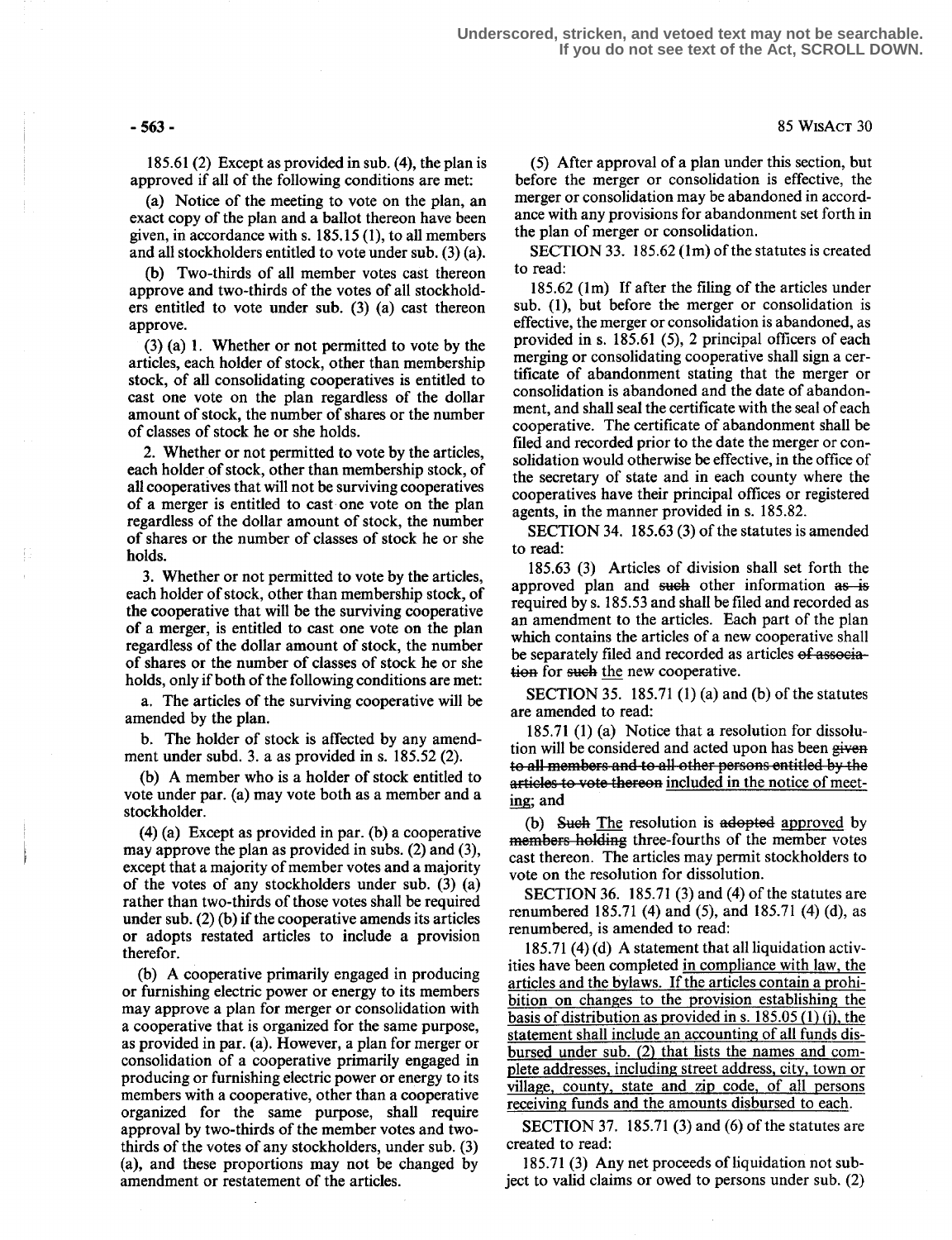185.61 (2) Except as provided in sub. (4), the plan is approved if all of the following conditions are met:

(a) Notice of the meeting to vote on the plan, an exact copy of the plan and a ballot thereon have been given, in accordance with s. 185.15 (1), to all members and all stockholders entitled to vote under sub. (3) (a).

(b) Two-thirds of all member votes cast thereon approve and two-thirds of the votes of all stockholders entitled to vote under sub. (3) (a) cast thereon approve.

 $(3)$  (a) 1. Whether or not permitted to vote by the articles, each holder of stock, other than membership stock, of all consolidating cooperatives is entitled to cast one vote on the plan regardless of the dollar amount of stock, the number of shares or the number of classes of stock he or she holds.

2. Whether or not permitted to vote by the articles, each holder of stock, other than membership stock, of all cooperatives that will not be surviving cooperatives of a merger is entitled to cast one vote on the plan regardless of the dollar amount of stock, the number of shares or the number of classes of stock he or she holds.

3. Whether or not permitted to vote by the articles, each holder of stock, other than membership stock, of the cooperative that will be the surviving cooperative of a merger, is entitled to cast one vote on the plan regardless of the dollar amount of stock, the number of shares or the number of classes of stock he or she holds, only if both of the following conditions are met:

a. The articles of the surviving cooperative will be amended by the plan.

b. The holder of stock is affected by any amendment under subd. 3. a as provided in s. 185.52 (2).

(b) A member who is a holder of stock entitled to vote under par. (a) may vote both as a member and a stockholder.

(4) (a) Except as provided in par. (b) a cooperative may approve the plan as provided in subs. (2) and (3), except that a majority of member votes and a majority of the votes of any stockholders under sub. (3) (a) rather than two-thirds of those votes shall be required under sub. (2) (b) if the cooperative amends its articles or adopts restated articles to include a provision therefor.

(b) A cooperative primarily engaged in producing or furnishing electric power or energy to its members may approve a plan for merger or consolidation with a cooperative that is organized for the same purpose, as provided in par. (a). However, a plan for merger or consolidation of a cooperative primarily engaged in producing or furnishing electric power or energy to its members with a cooperative, other than a cooperative organized for the same purpose, shall require approval by two-thirds of the member votes and twothirds of the votes of any stockholders, under sub. (3) (a), and these proportions may not be changed by amendment or restatement of the articles.

(5) After approval of a plan under this section, but before the merger or consolidation is effective, the merger or consolidation may be abandoned in accordance with any provisions for abandonment set forth in the plan of merger or consolidation.

SECTION 33. 185.62 (1m) of the statutes is created to read:

185.62 (lm) If after the filing of the articles under sub. (1), but before the merger or consolidation is effective, the merger or consolidation is abandoned, as provided in s. 185.61 (5), 2 principal officers of each merging or consolidating cooperative shall sign a certificate of abandonment stating that the merger or consolidation is abandoned and the date of abandonment, and shall seal the certificate with the seal of each cooperative. The certificate of abandonment shall be filed and recorded prior to the date the merger or consolidation would otherwise be effective, in the office of the secretary of state and in each county where the cooperatives have their principal offices or registered agents, in the manner provided in s. 185.82.

SECTION 34. 185.63 (3) of the statutes is amended to read:

185 .63 (3) Articles of division shall set forth the approved plan and such other information as is required by s. 185.53 and shall be filed and recorded as an amendment to the articles. Each part of the plan which contains the articles of a new cooperative shall be separately filed and recorded as articles of association for such the new cooperative.

SECTION 35. 185.71  $(1)$  (a) and (b) of the statutes are amended to read:

185 .71 (1) (a) Notice that a resolution for dissolution will be considered and acted upon has been given to all members and to all other persons entitled by the articles to vote thereon included in the notice of meeting; and

(b) Such The resolution is adopted approved by members holding three-fourths of the member votes cast thereon. The articles may permit stockholders to vote on the resolution for dissolution.

SECTION 36. 185.71 (3) and (4) of the statutes are renumbered 185.71 (4) and (5), and 185.71 (4) (d), as renumbered, is amended to read:

185.71 (4) (d) A statement that all liquidation activities have been completed in compliance with law, the articles and the bylaws. If the articles contain a prohibition on changes to the provision establishing the basis of distribution as provided in s.  $185.05(1)(i)$ , the statement shall include an accounting of all funds disbursed under sub. (2) that lists the names and complete addresses, including street address, city, town or village, county, state and zip code, of all persons receiving funds and the amounts disbursed to each.

SECTION 37. 185.71  $(3)$  and  $(6)$  of the statutes are created to read:

185.71 (3) Any net proceeds of liquidation not subject to valid claims or owed to persons under sub. (2)

 $-563$   $-85$  WisAcT 30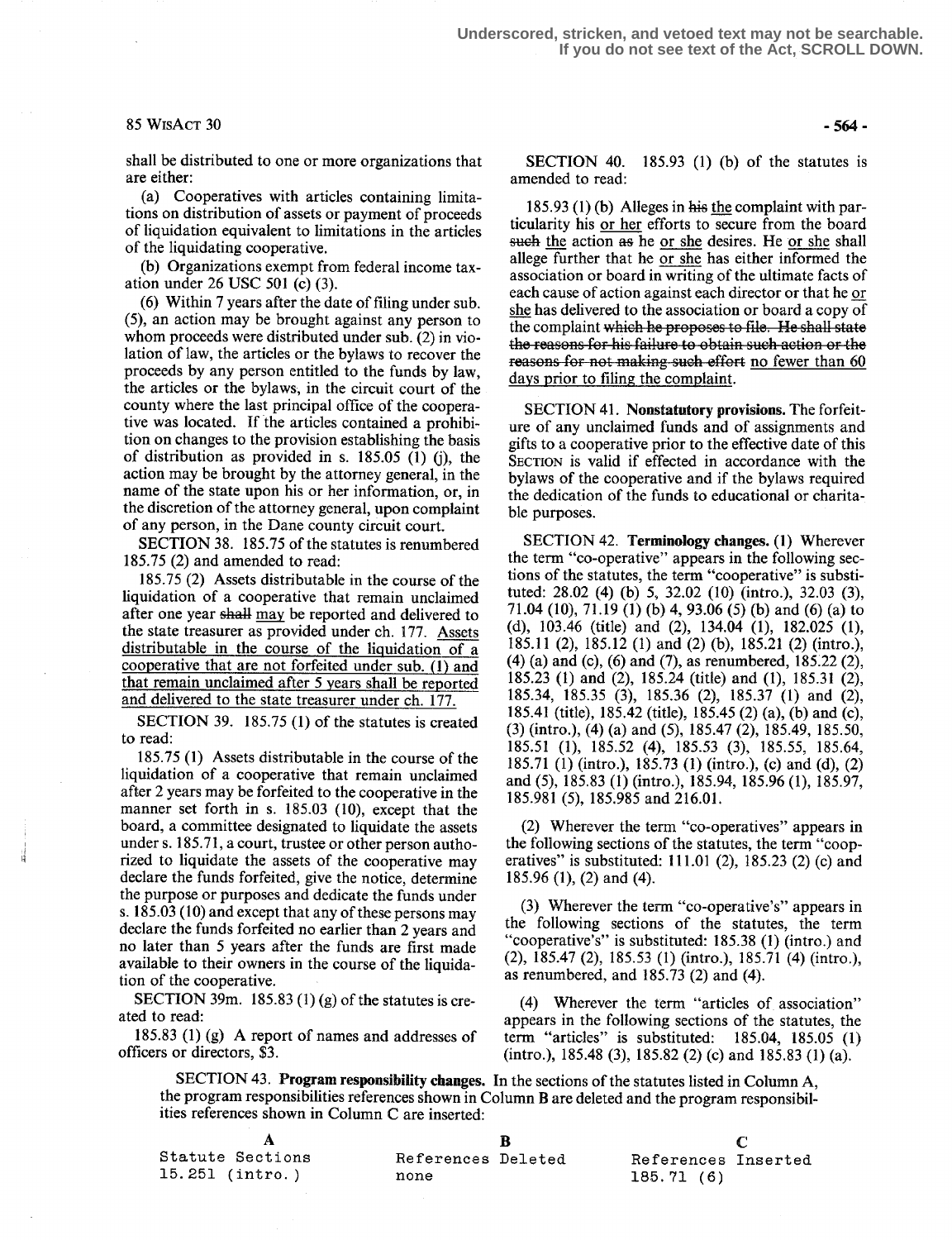#### $85 WisACT 30 -564 -$

shall be distributed to one or more organizations that are either:

(a) Cooperatives with articles containing limitations on distribution of assets or payment of proceeds of liquidation equivalent to limitations in the articles of the liquidating cooperative.

(b) Organizations exempt from federal income taxation under 26 USC 501 (c) (3).

(6) Within 7 years after the date of filing under sub. (5), an action may be brought against any person to whom proceeds were distributed under sub. (2) in violation of law, the articles or the bylaws to recover the proceeds by any person entitled to the funds by law, the articles or the bylaws; in the circuit court of the county where the last principal office of the cooperative was located. If the articles contained a prohibition on changes to the provision establishing the basis of distribution as provided in s. 185.05  $(1)$  (j), the action may be brought by the attorney general, in the name of the state upon his or her information, or, in the discretion of the attorney general, upon complaint of any person, in the Dane county circuit court.

SECTION 38. 185.75 of the statutes is renumbered 185.75 (2) and amended to read:

185.75 (2) Assets distributable in the course of the liquidation of a cooperative that remain unclaimed after one year shall may be reported and delivered to the state treasurer as provided under ch. 177. Assets distributable in the course of the liquidation of a cooperative that are not forfeited under sub. (1) and that remain unclaimed after 5 years shall be reported and delivered to the state treasurer under ch. 177.

SECTION 39. 185.75 (1) of the statutes is created to read:

185.75 (1) Assets distributable in the course of the liquidation of a cooperative that remain unclaimed after 2 years may be forfeited to the cooperative in the manner set forth in s. 185.03 (10), except that the board, a committee designated to liquidate the assets under s. 185.71, a court, trustee or other person authorized to liquidate the assets of the cooperative may declare the funds forfeited, give the notice, determine the purpose or purposes and dedicate the funds under s. 185.03 (10) and except that any of these persons may declare the funds forfeited no earlier than 2 years and no later than 5 years after the funds are first made available to their owners in the course of the liquidation of the cooperative.

SECTION 39m. 185.83 (1) (g) of the statutes is created to read:

185.83 (1) (g) A report of names and addresses of officers or directors, \$3.

SECTION 40. 185.93  $(1)$  (b) of the statutes is amended to read:

 $185.93(1)$  (b) Alleges in his the complaint with particularity his or her efforts to secure from the board such the action as he or she desires. He or she shall allege further that he or she has either informed the association or board in writing of the ultimate facts of each cause of action against each director or that he or she has delivered to the association or board a copy of the complaint which he proposes to file. He shall state the reasons for his failure to obtain such action or the reasons for not making such effort no fewer than 60 days prior to filing the complaint.

SECTION 41. Nonstatutory provisions. The forfeiture of any unclaimed funds and of assignments and gifts to a cooperative prior to the effective date of this SECTION is valid if effected in accordance with the bylaws of the cooperative and if the bylaws required the dedication of the funds to educational or charitable purposes.

SECTION 42. Terminology changes. (1) Wherever the term "co-operative" appears in the following sections of the statutes, the term "cooperative" is substituted: 28.02 (4) (b) 5, 32.02 (10) (intro.), 32.03 (3), 71 .04 (10), 71 .19 (1) (b) 4, 93 .06 (5) (b) and (6) (a) to (d), 103 .46 (title) and (2), 134.04 (1), 182.025 (1), 185.11 (2), 185.12 (1) and (2) (b), 185.21 (2) (intro.), (4) (a) and (c), (6) and (7), as renumbered, 185:22 (2), 185.23 (1) and (2), 185.24 (title) and (1), 185.31 (2), 185.34, 185.35 (3), 185.36 (2), 185.37 (1) and (2), 185.4 (title), 185.42 (title), 185 .45 (2) (a), (b) and (c), (3) (intro .), (4) (a) and (5), 185 .47 (2), 185 .49, 185.50, 185.51 (1), 15 .52 (4), 185 .53 (3), 185 .55, 185 .64, 185.71 (1) (intro.), 185.73 (1) (intro.), (c) and (d), (2) and (5), 185 .83 (1) (intro .), 185.94, 185.96 (1), 185 .97, 185.981 (5), 185.985 and 216.01.

(2) Wherever the term "co-operatives" appears in the following sections of the statutes, the term "cooperatives" is substituted: 111 .01 (2), 185.23 (2) (c) and 185.96 (1), (2) and (4).

(3) Wherever the term "co-operative's" appears in the following sections of the statutes, the term "cooperative's" is substituted: 185.38 (1) (intro.) and (2), 185.47 (2), 185.53 (1) (intro .), 185.71 (4) (intro .), as renumbered, and 185 .73 (2) and (4).

(4) Wherever the term "articles of association" appears in the following sections of the statutes, the term "articles" is substituted:  $185.04$ ,  $185.05$  (1)  $(intro.), 185.48 (3), 185.82 (2) (c) and 185.83 (1) (a).$ 

SECTION 43. Program responsibility changes. In the sections of the statutes listed in Column A, the program responsibilities references shown in Column B are deleted and the program responsibilities references shown in Column C are inserted :

| Statute Sections | References Deleted | References Inserted |
|------------------|--------------------|---------------------|
| 15.251 (intro.)  | none               | 185.71 (6)          |